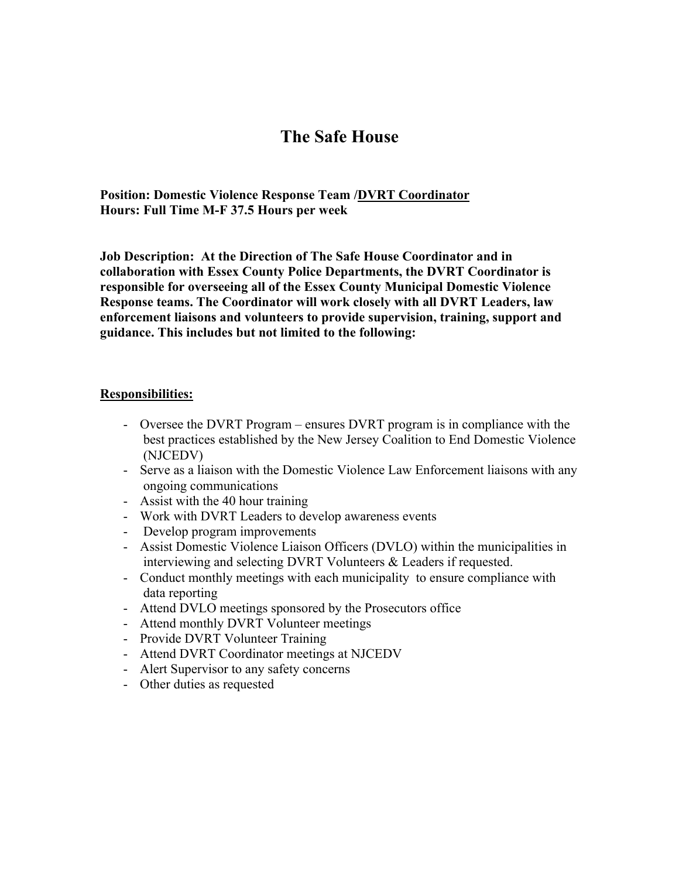## **The Safe House**

**Position: Domestic Violence Response Team /DVRT Coordinator Hours: Full Time M-F 37.5 Hours per week**

**Job Description: At the Direction of The Safe House Coordinator and in collaboration with Essex County Police Departments, the DVRT Coordinator is responsible for overseeing all of the Essex County Municipal Domestic Violence Response teams. The Coordinator will work closely with all DVRT Leaders, law enforcement liaisons and volunteers to provide supervision, training, support and guidance. This includes but not limited to the following:**

## **Responsibilities:**

- Oversee the DVRT Program ensures DVRT program is in compliance with the best practices established by the New Jersey Coalition to End Domestic Violence (NJCEDV)
- Serve as a liaison with the Domestic Violence Law Enforcement liaisons with any ongoing communications
- Assist with the 40 hour training
- Work with DVRT Leaders to develop awareness events
- Develop program improvements
- Assist Domestic Violence Liaison Officers (DVLO) within the municipalities in interviewing and selecting DVRT Volunteers & Leaders if requested.
- Conduct monthly meetings with each municipality to ensure compliance with data reporting
- Attend DVLO meetings sponsored by the Prosecutors office
- Attend monthly DVRT Volunteer meetings
- Provide DVRT Volunteer Training
- Attend DVRT Coordinator meetings at NJCEDV
- Alert Supervisor to any safety concerns
- Other duties as requested